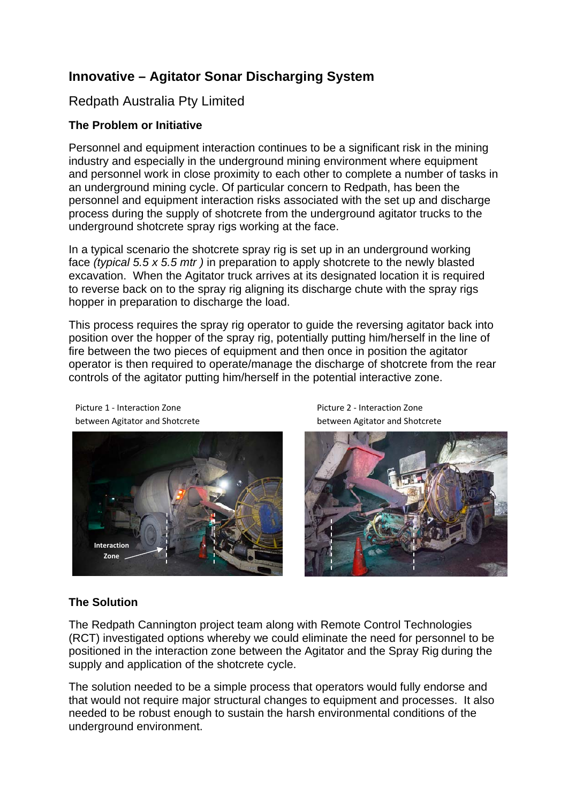# **Innovative – Agitator Sonar Discharging System**

# Redpath Australia Pty Limited

### **The Problem or Initiative**

Personnel and equipment interaction continues to be a significant risk in the mining industry and especially in the underground mining environment where equipment and personnel work in close proximity to each other to complete a number of tasks in an underground mining cycle. Of particular concern to Redpath, has been the personnel and equipment interaction risks associated with the set up and discharge process during the supply of shotcrete from the underground agitator trucks to the underground shotcrete spray rigs working at the face.

In a typical scenario the shotcrete spray rig is set up in an underground working face *(typical 5.5 x 5.5 mtr )* in preparation to apply shotcrete to the newly blasted excavation. When the Agitator truck arrives at its designated location it is required to reverse back on to the spray rig aligning its discharge chute with the spray rigs hopper in preparation to discharge the load.

This process requires the spray rig operator to guide the reversing agitator back into position over the hopper of the spray rig, potentially putting him/herself in the line of fire between the two pieces of equipment and then once in position the agitator operator is then required to operate/manage the discharge of shotcrete from the rear controls of the agitator putting him/herself in the potential interactive zone.



Picture 1 ‐ Interaction Zone between Agitator and Shotcrete

Picture 2 ‐ Interaction Zone between Agitator and Shotcrete



# **The Solution**

The Redpath Cannington project team along with Remote Control Technologies (RCT) investigated options whereby we could eliminate the need for personnel to be positioned in the interaction zone between the Agitator and the Spray Rig during the supply and application of the shotcrete cycle.

The solution needed to be a simple process that operators would fully endorse and that would not require major structural changes to equipment and processes. It also needed to be robust enough to sustain the harsh environmental conditions of the underground environment.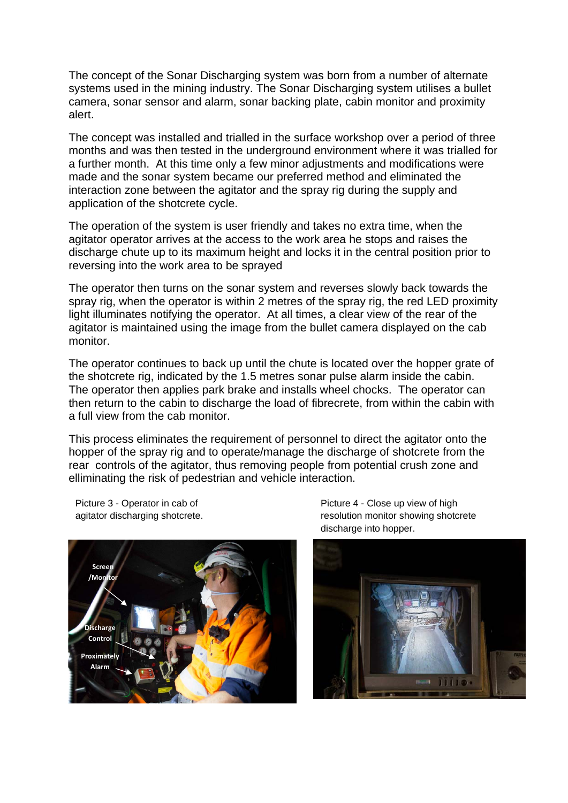The concept of the Sonar Discharging system was born from a number of alternate systems used in the mining industry. The Sonar Discharging system utilises a bullet camera, sonar sensor and alarm, sonar backing plate, cabin monitor and proximity alert.

The concept was installed and trialled in the surface workshop over a period of three months and was then tested in the underground environment where it was trialled for a further month. At this time only a few minor adjustments and modifications were made and the sonar system became our preferred method and eliminated the interaction zone between the agitator and the spray rig during the supply and application of the shotcrete cycle.

The operation of the system is user friendly and takes no extra time, when the agitator operator arrives at the access to the work area he stops and raises the discharge chute up to its maximum height and locks it in the central position prior to reversing into the work area to be sprayed

The operator then turns on the sonar system and reverses slowly back towards the spray rig, when the operator is within 2 metres of the spray rig, the red LED proximity light illuminates notifying the operator. At all times, a clear view of the rear of the agitator is maintained using the image from the bullet camera displayed on the cab monitor.

The operator continues to back up until the chute is located over the hopper grate of the shotcrete rig, indicated by the 1.5 metres sonar pulse alarm inside the cabin. The operator then applies park brake and installs wheel chocks. The operator can then return to the cabin to discharge the load of fibrecrete, from within the cabin with a full view from the cab monitor.

This process eliminates the requirement of personnel to direct the agitator onto the hopper of the spray rig and to operate/manage the discharge of shotcrete from the rear controls of the agitator, thus removing people from potential crush zone and elliminating the risk of pedestrian and vehicle interaction.

Picture 3 - Operator in cab of agitator discharging shotcrete.



Picture 4 - Close up view of high resolution monitor showing shotcrete discharge into hopper.

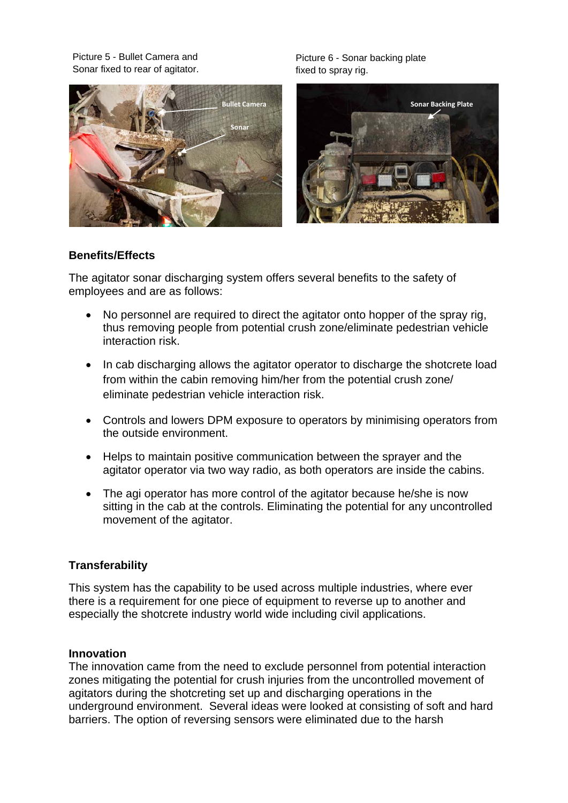Picture 5 - Bullet Camera and Sonar fixed to rear of agitator.



Picture 6 - Sonar backing plate fixed to spray rig.



#### **Benefits/Effects**

The agitator sonar discharging system offers several benefits to the safety of employees and are as follows:

- No personnel are required to direct the agitator onto hopper of the spray rig, thus removing people from potential crush zone/eliminate pedestrian vehicle interaction risk.
- In cab discharging allows the agitator operator to discharge the shotcrete load from within the cabin removing him/her from the potential crush zone/ eliminate pedestrian vehicle interaction risk.
- Controls and lowers DPM exposure to operators by minimising operators from the outside environment.
- Helps to maintain positive communication between the sprayer and the agitator operator via two way radio, as both operators are inside the cabins.
- The agi operator has more control of the agitator because he/she is now sitting in the cab at the controls. Eliminating the potential for any uncontrolled movement of the agitator.

#### **Transferability**

This system has the capability to be used across multiple industries, where ever there is a requirement for one piece of equipment to reverse up to another and especially the shotcrete industry world wide including civil applications.

#### **Innovation**

The innovation came from the need to exclude personnel from potential interaction zones mitigating the potential for crush injuries from the uncontrolled movement of agitators during the shotcreting set up and discharging operations in the underground environment. Several ideas were looked at consisting of soft and hard barriers. The option of reversing sensors were eliminated due to the harsh